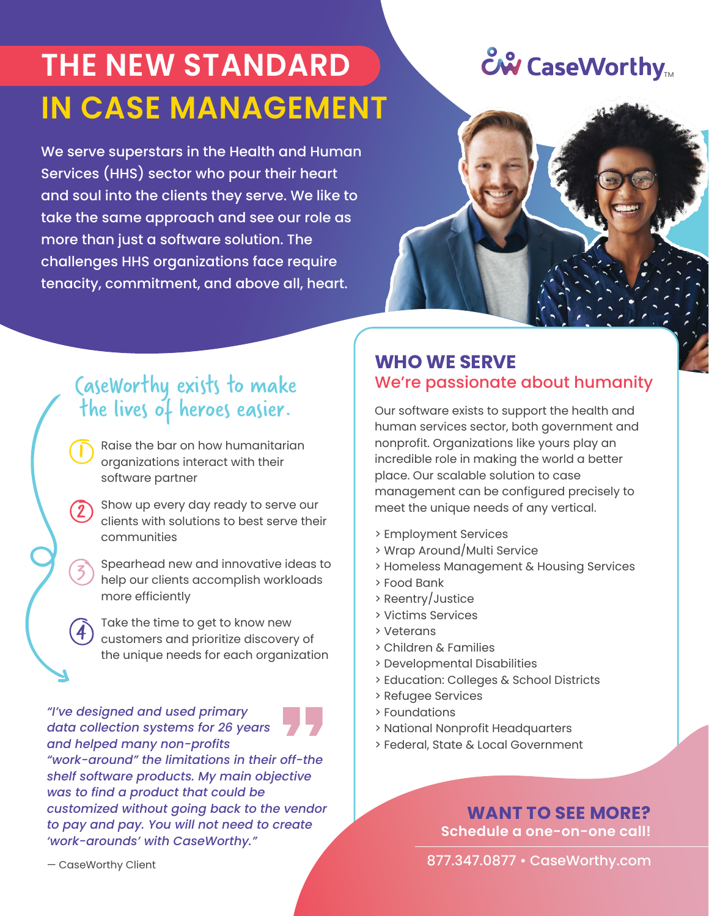# THE NEW STANDARD **THE NEW STANDARD IN CASE MANAGEMENT**

We serve superstars in the Health and Human Services (HHS) sector who pour their heart and soul into the clients they serve. We like to take the same approach and see our role as more than just a software solution. The challenges HHS organizations face require tenacity, commitment, and above all, heart.



## CaseWorthy exists to make the lives of heroes easier.

Raise the bar on how humanitarian organizations interact with their software partner

Show up every day ready to serve our clients with solutions to best serve their communities

Spearhead new and innovative ideas to help our clients accomplish workloads more efficiently

Take the time to get to know new customers and prioritize discovery of the unique needs for each organization

*"I've designed and used primary data collection systems for 26 years and helped many non-profits "work-around" the limitations in their off-the shelf software products. My main objective was to find a product that could be customized without going back to the vendor to pay and pay. You will not need to create 'work-arounds' with CaseWorthy."*

### **WHO WE SERVE** We're passionate about humanity

Our software exists to support the health and human services sector, both government and nonprofit. Organizations like yours play an incredible role in making the world a better place. Our scalable solution to case management can be configured precisely to meet the unique needs of any vertical.

- > Employment Services
- > Wrap Around/Multi Service
- > Homeless Management & Housing Services
- > Food Bank
- > Reentry/Justice
- > Victims Services
- > Veterans
- > Children & Families
- > Developmental Disabilities
- > Education: Colleges & School Districts
- > Refugee Services
- > Foundations
- > National Nonprofit Headquarters
- > Federal, State & Local Government

**WANT TO SEE MORE? Schedule a one-on-one call!**

877.347.0877 • CaseWorthy.com

 $\overline{\mathbf{j}}$ 

2

**3** 

 $\widehat{\bm{A}}$